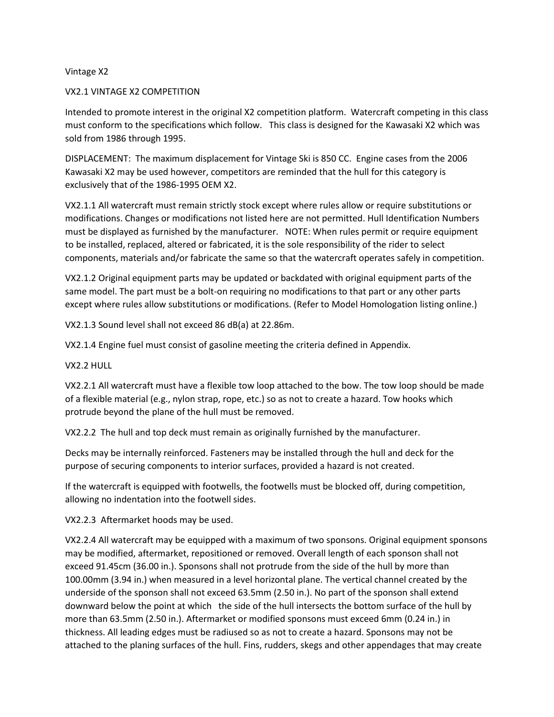## Vintage X2

### VX2.1 VINTAGE X2 COMPETITION

Intended to promote interest in the original X2 competition platform. Watercraft competing in this class must conform to the specifications which follow. This class is designed for the Kawasaki X2 which was sold from 1986 through 1995.

DISPLACEMENT: The maximum displacement for Vintage Ski is 850 CC. Engine cases from the 2006 Kawasaki X2 may be used however, competitors are reminded that the hull for this category is exclusively that of the 1986-1995 OEM X2.

VX2.1.1 All watercraft must remain strictly stock except where rules allow or require substitutions or modifications. Changes or modifications not listed here are not permitted. Hull Identification Numbers must be displayed as furnished by the manufacturer. NOTE: When rules permit or require equipment to be installed, replaced, altered or fabricated, it is the sole responsibility of the rider to select components, materials and/or fabricate the same so that the watercraft operates safely in competition.

VX2.1.2 Original equipment parts may be updated or backdated with original equipment parts of the same model. The part must be a bolt-on requiring no modifications to that part or any other parts except where rules allow substitutions or modifications. (Refer to Model Homologation listing online.)

VX2.1.3 Sound level shall not exceed 86 dB(a) at 22.86m.

VX2.1.4 Engine fuel must consist of gasoline meeting the criteria defined in Appendix.

VX2.2 HULL

VX2.2.1 All watercraft must have a flexible tow loop attached to the bow. The tow loop should be made of a flexible material (e.g., nylon strap, rope, etc.) so as not to create a hazard. Tow hooks which protrude beyond the plane of the hull must be removed.

VX2.2.2 The hull and top deck must remain as originally furnished by the manufacturer.

Decks may be internally reinforced. Fasteners may be installed through the hull and deck for the purpose of securing components to interior surfaces, provided a hazard is not created.

If the watercraft is equipped with footwells, the footwells must be blocked off, during competition, allowing no indentation into the footwell sides.

VX2.2.3 Aftermarket hoods may be used.

VX2.2.4 All watercraft may be equipped with a maximum of two sponsons. Original equipment sponsons may be modified, aftermarket, repositioned or removed. Overall length of each sponson shall not exceed 91.45cm (36.00 in.). Sponsons shall not protrude from the side of the hull by more than 100.00mm (3.94 in.) when measured in a level horizontal plane. The vertical channel created by the underside of the sponson shall not exceed 63.5mm (2.50 in.). No part of the sponson shall extend downward below the point at which the side of the hull intersects the bottom surface of the hull by more than 63.5mm (2.50 in.). Aftermarket or modified sponsons must exceed 6mm (0.24 in.) in thickness. All leading edges must be radiused so as not to create a hazard. Sponsons may not be attached to the planing surfaces of the hull. Fins, rudders, skegs and other appendages that may create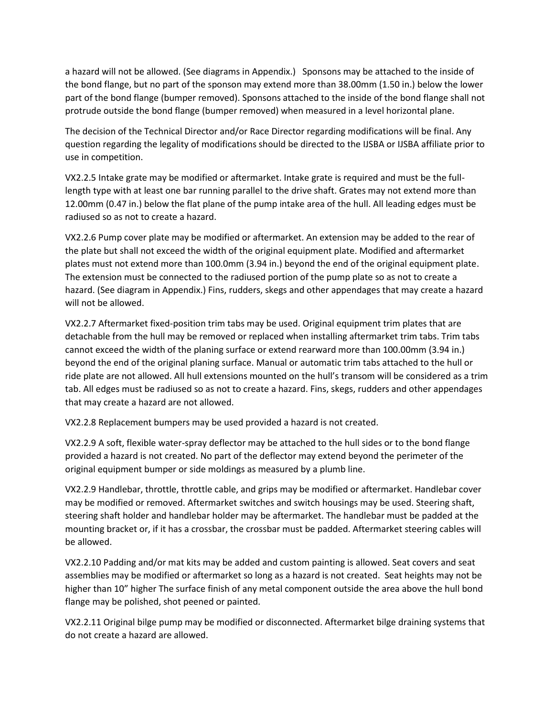a hazard will not be allowed. (See diagrams in Appendix.) Sponsons may be attached to the inside of the bond flange, but no part of the sponson may extend more than 38.00mm (1.50 in.) below the lower part of the bond flange (bumper removed). Sponsons attached to the inside of the bond flange shall not protrude outside the bond flange (bumper removed) when measured in a level horizontal plane.

The decision of the Technical Director and/or Race Director regarding modifications will be final. Any question regarding the legality of modifications should be directed to the IJSBA or IJSBA affiliate prior to use in competition.

VX2.2.5 Intake grate may be modified or aftermarket. Intake grate is required and must be the fulllength type with at least one bar running parallel to the drive shaft. Grates may not extend more than 12.00mm (0.47 in.) below the flat plane of the pump intake area of the hull. All leading edges must be radiused so as not to create a hazard.

VX2.2.6 Pump cover plate may be modified or aftermarket. An extension may be added to the rear of the plate but shall not exceed the width of the original equipment plate. Modified and aftermarket plates must not extend more than 100.0mm (3.94 in.) beyond the end of the original equipment plate. The extension must be connected to the radiused portion of the pump plate so as not to create a hazard. (See diagram in Appendix.) Fins, rudders, skegs and other appendages that may create a hazard will not be allowed.

VX2.2.7 Aftermarket fixed-position trim tabs may be used. Original equipment trim plates that are detachable from the hull may be removed or replaced when installing aftermarket trim tabs. Trim tabs cannot exceed the width of the planing surface or extend rearward more than 100.00mm (3.94 in.) beyond the end of the original planing surface. Manual or automatic trim tabs attached to the hull or ride plate are not allowed. All hull extensions mounted on the hull's transom will be considered as a trim tab. All edges must be radiused so as not to create a hazard. Fins, skegs, rudders and other appendages that may create a hazard are not allowed.

VX2.2.8 Replacement bumpers may be used provided a hazard is not created.

VX2.2.9 A soft, flexible water-spray deflector may be attached to the hull sides or to the bond flange provided a hazard is not created. No part of the deflector may extend beyond the perimeter of the original equipment bumper or side moldings as measured by a plumb line.

VX2.2.9 Handlebar, throttle, throttle cable, and grips may be modified or aftermarket. Handlebar cover may be modified or removed. Aftermarket switches and switch housings may be used. Steering shaft, steering shaft holder and handlebar holder may be aftermarket. The handlebar must be padded at the mounting bracket or, if it has a crossbar, the crossbar must be padded. Aftermarket steering cables will be allowed.

VX2.2.10 Padding and/or mat kits may be added and custom painting is allowed. Seat covers and seat assemblies may be modified or aftermarket so long as a hazard is not created. Seat heights may not be higher than 10" higher The surface finish of any metal component outside the area above the hull bond flange may be polished, shot peened or painted.

VX2.2.11 Original bilge pump may be modified or disconnected. Aftermarket bilge draining systems that do not create a hazard are allowed.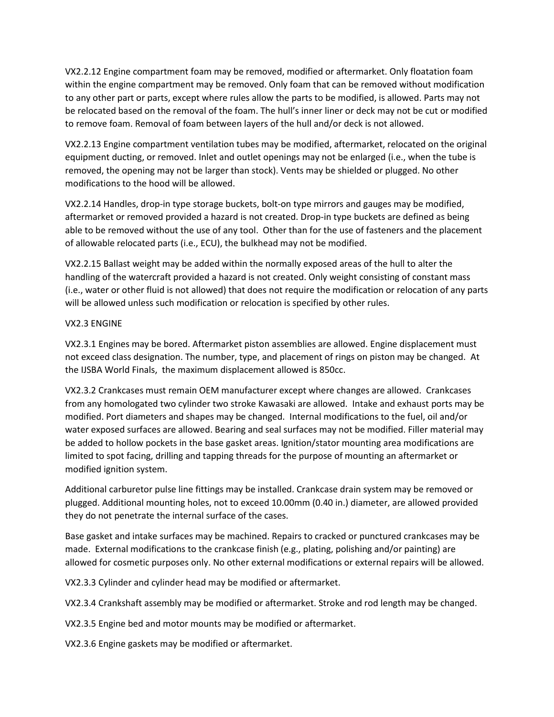VX2.2.12 Engine compartment foam may be removed, modified or aftermarket. Only floatation foam within the engine compartment may be removed. Only foam that can be removed without modification to any other part or parts, except where rules allow the parts to be modified, is allowed. Parts may not be relocated based on the removal of the foam. The hull's inner liner or deck may not be cut or modified to remove foam. Removal of foam between layers of the hull and/or deck is not allowed.

VX2.2.13 Engine compartment ventilation tubes may be modified, aftermarket, relocated on the original equipment ducting, or removed. Inlet and outlet openings may not be enlarged (i.e., when the tube is removed, the opening may not be larger than stock). Vents may be shielded or plugged. No other modifications to the hood will be allowed.

VX2.2.14 Handles, drop-in type storage buckets, bolt-on type mirrors and gauges may be modified, aftermarket or removed provided a hazard is not created. Drop-in type buckets are defined as being able to be removed without the use of any tool. Other than for the use of fasteners and the placement of allowable relocated parts (i.e., ECU), the bulkhead may not be modified.

VX2.2.15 Ballast weight may be added within the normally exposed areas of the hull to alter the handling of the watercraft provided a hazard is not created. Only weight consisting of constant mass (i.e., water or other fluid is not allowed) that does not require the modification or relocation of any parts will be allowed unless such modification or relocation is specified by other rules.

# VX2.3 ENGINE

VX2.3.1 Engines may be bored. Aftermarket piston assemblies are allowed. Engine displacement must not exceed class designation. The number, type, and placement of rings on piston may be changed. At the IJSBA World Finals, the maximum displacement allowed is 850cc.

VX2.3.2 Crankcases must remain OEM manufacturer except where changes are allowed. Crankcases from any homologated two cylinder two stroke Kawasaki are allowed. Intake and exhaust ports may be modified. Port diameters and shapes may be changed. Internal modifications to the fuel, oil and/or water exposed surfaces are allowed. Bearing and seal surfaces may not be modified. Filler material may be added to hollow pockets in the base gasket areas. Ignition/stator mounting area modifications are limited to spot facing, drilling and tapping threads for the purpose of mounting an aftermarket or modified ignition system.

Additional carburetor pulse line fittings may be installed. Crankcase drain system may be removed or plugged. Additional mounting holes, not to exceed 10.00mm (0.40 in.) diameter, are allowed provided they do not penetrate the internal surface of the cases.

Base gasket and intake surfaces may be machined. Repairs to cracked or punctured crankcases may be made. External modifications to the crankcase finish (e.g., plating, polishing and/or painting) are allowed for cosmetic purposes only. No other external modifications or external repairs will be allowed.

VX2.3.3 Cylinder and cylinder head may be modified or aftermarket.

VX2.3.4 Crankshaft assembly may be modified or aftermarket. Stroke and rod length may be changed.

VX2.3.5 Engine bed and motor mounts may be modified or aftermarket.

VX2.3.6 Engine gaskets may be modified or aftermarket.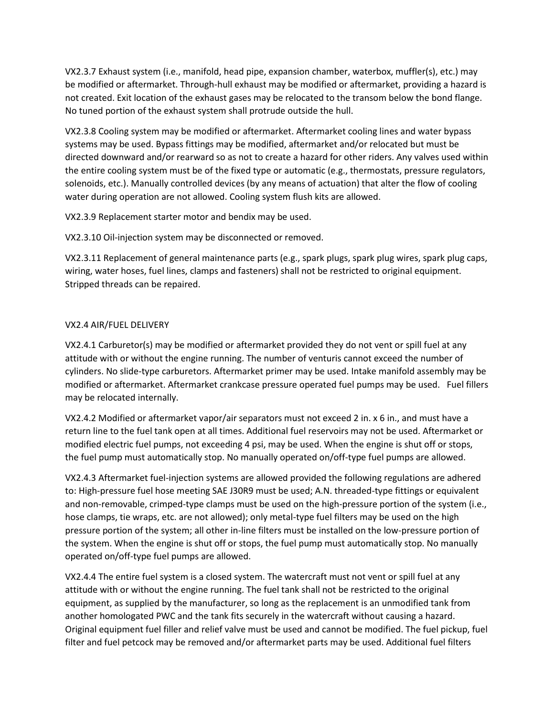VX2.3.7 Exhaust system (i.e., manifold, head pipe, expansion chamber, waterbox, muffler(s), etc.) may be modified or aftermarket. Through-hull exhaust may be modified or aftermarket, providing a hazard is not created. Exit location of the exhaust gases may be relocated to the transom below the bond flange. No tuned portion of the exhaust system shall protrude outside the hull.

VX2.3.8 Cooling system may be modified or aftermarket. Aftermarket cooling lines and water bypass systems may be used. Bypass fittings may be modified, aftermarket and/or relocated but must be directed downward and/or rearward so as not to create a hazard for other riders. Any valves used within the entire cooling system must be of the fixed type or automatic (e.g., thermostats, pressure regulators, solenoids, etc.). Manually controlled devices (by any means of actuation) that alter the flow of cooling water during operation are not allowed. Cooling system flush kits are allowed.

VX2.3.9 Replacement starter motor and bendix may be used.

VX2.3.10 Oil-injection system may be disconnected or removed.

VX2.3.11 Replacement of general maintenance parts (e.g., spark plugs, spark plug wires, spark plug caps, wiring, water hoses, fuel lines, clamps and fasteners) shall not be restricted to original equipment. Stripped threads can be repaired.

# VX2.4 AIR/FUEL DELIVERY

VX2.4.1 Carburetor(s) may be modified or aftermarket provided they do not vent or spill fuel at any attitude with or without the engine running. The number of venturis cannot exceed the number of cylinders. No slide-type carburetors. Aftermarket primer may be used. Intake manifold assembly may be modified or aftermarket. Aftermarket crankcase pressure operated fuel pumps may be used. Fuel fillers may be relocated internally.

VX2.4.2 Modified or aftermarket vapor/air separators must not exceed 2 in. x 6 in., and must have a return line to the fuel tank open at all times. Additional fuel reservoirs may not be used. Aftermarket or modified electric fuel pumps, not exceeding 4 psi, may be used. When the engine is shut off or stops, the fuel pump must automatically stop. No manually operated on/off-type fuel pumps are allowed.

VX2.4.3 Aftermarket fuel-injection systems are allowed provided the following regulations are adhered to: High-pressure fuel hose meeting SAE J30R9 must be used; A.N. threaded-type fittings or equivalent and non-removable, crimped-type clamps must be used on the high-pressure portion of the system (i.e., hose clamps, tie wraps, etc. are not allowed); only metal-type fuel filters may be used on the high pressure portion of the system; all other in-line filters must be installed on the low-pressure portion of the system. When the engine is shut off or stops, the fuel pump must automatically stop. No manually operated on/off-type fuel pumps are allowed.

VX2.4.4 The entire fuel system is a closed system. The watercraft must not vent or spill fuel at any attitude with or without the engine running. The fuel tank shall not be restricted to the original equipment, as supplied by the manufacturer, so long as the replacement is an unmodified tank from another homologated PWC and the tank fits securely in the watercraft without causing a hazard. Original equipment fuel filler and relief valve must be used and cannot be modified. The fuel pickup, fuel filter and fuel petcock may be removed and/or aftermarket parts may be used. Additional fuel filters